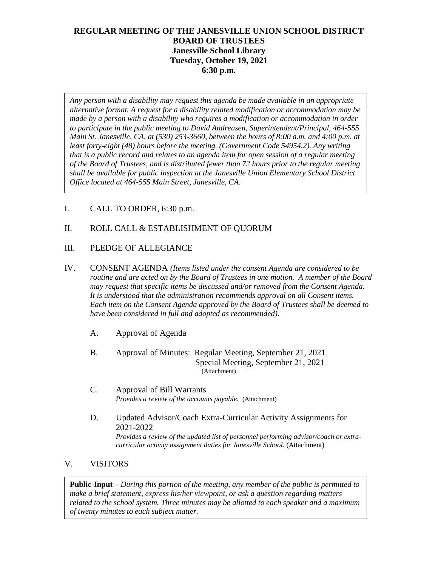# **REGULAR MEETING OF THE JANESVILLE UNION SCHOOL DISTRICT BOARD OF TRUSTEES Janesville School Library Tuesday, October 19, 2021 6:30 p.m.**

*Any person with a disability may request this agenda be made available in an appropriate alternative format. A request for a disability related modification or accommodation may be made by a person with a disability who requires a modification or accommodation in order to participate in the public meeting to David Andreasen, Superintendent/Principal, 464-555 Main St. Janesville, CA, at (530) 253-3660, between the hours of 8:00 a.m. and 4:00 p.m. at least forty-eight (48) hours before the meeting. (Government Code 54954.2). Any writing that is a public record and relates to an agenda item for open session of a regular meeting of the Board of Trustees, and is distributed fewer than 72 hours prior to the regular meeting shall be available for public inspection at the Janesville Union Elementary School District Office located at 464-555 Main Street, Janesville, CA.* 

I. CALL TO ORDER, 6:30 p.m.

## II. ROLL CALL & ESTABLISHMENT OF QUORUM

- III. PLEDGE OF ALLEGIANCE
- IV. CONSENT AGENDA *(Items listed under the consent Agenda are considered to be routine and are acted on by the Board of Trustees in one motion. A member of the Board may request that specific items be discussed and/or removed from the Consent Agenda. It is understood that the administration recommends approval on all Consent items. Each item on the Consent Agenda approved by the Board of Trustees shall be deemed to have been considered in full and adopted as recommended).*
	- A. Approval of Agenda
	- B. Approval of Minutes: Regular Meeting, September 21, 2021 Special Meeting, September 21, 2021 (Attachment)
	- C. Approval of Bill Warrants *Provides a review of the accounts payable.* (Attachment)
	- D. Updated Advisor/Coach Extra-Curricular Activity Assignments for 2021-2022 *Provides a review of the updated list of personnel performing advisor/coach or extracurricular activity assignment duties for Janesville School.* (Attachment)

#### V. VISITORS

**Public-Input** – *During this portion of the meeting, any member of the public is permitted to make a brief statement, express his/her viewpoint, or ask a question regarding matters related to the school system. Three minutes may be allotted to each speaker and a maximum of twenty minutes to each subject matter.*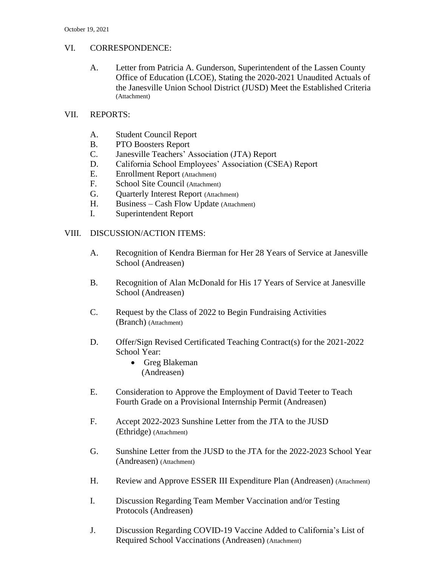## VI. CORRESPONDENCE:

- A. Letter from Patricia A. Gunderson, Superintendent of the Lassen County Office of Education (LCOE), Stating the 2020-2021 Unaudited Actuals of the Janesville Union School District (JUSD) Meet the Established Criteria (Attachment)
- VII. REPORTS:
	- A. Student Council Report
	- B. PTO Boosters Report
	- C. Janesville Teachers' Association (JTA) Report
	- D. California School Employees' Association (CSEA) Report
	- E. Enrollment Report (Attachment)
	- F. School Site Council (Attachment)
	- G. Quarterly Interest Report (Attachment)
	- H. Business Cash Flow Update (Attachment)
	- I. Superintendent Report

## VIII. DISCUSSION/ACTION ITEMS:

- A. Recognition of Kendra Bierman for Her 28 Years of Service at Janesville School (Andreasen)
- B. Recognition of Alan McDonald for His 17 Years of Service at Janesville School (Andreasen)
- C. Request by the Class of 2022 to Begin Fundraising Activities (Branch) (Attachment)
- D. Offer/Sign Revised Certificated Teaching Contract(s) for the 2021-2022 School Year:
	- Greg Blakeman (Andreasen)
- E. Consideration to Approve the Employment of David Teeter to Teach Fourth Grade on a Provisional Internship Permit (Andreasen)
- F. Accept 2022-2023 Sunshine Letter from the JTA to the JUSD (Ethridge) (Attachment)
- G. Sunshine Letter from the JUSD to the JTA for the 2022-2023 School Year (Andreasen) (Attachment)
- H. Review and Approve ESSER III Expenditure Plan (Andreasen) (Attachment)
- I. Discussion Regarding Team Member Vaccination and/or Testing Protocols (Andreasen)
- J. Discussion Regarding COVID-19 Vaccine Added to California's List of Required School Vaccinations (Andreasen) (Attachment)